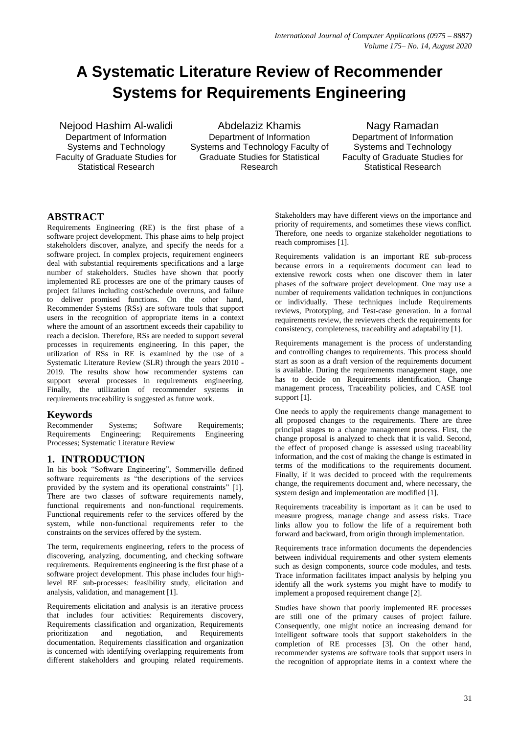# **A Systematic Literature Review of Recommender Systems for Requirements Engineering**

Nejood Hashim Al-walidi Department of Information Systems and Technology Faculty of Graduate Studies for Statistical Research

Abdelaziz Khamis Department of Information Systems and Technology Faculty of Graduate Studies for Statistical Research

Nagy Ramadan Department of Information Systems and Technology Faculty of Graduate Studies for Statistical Research

## **ABSTRACT**

Requirements Engineering (RE) is the first phase of a software project development. This phase aims to help project stakeholders discover, analyze, and specify the needs for a software project. In complex projects, requirement engineers deal with substantial requirements specifications and a large number of stakeholders. Studies have shown that poorly implemented RE processes are one of the primary causes of project failures including cost/schedule overruns, and failure to deliver promised functions. On the other hand, Recommender Systems (RSs) are software tools that support users in the recognition of appropriate items in a context where the amount of an assortment exceeds their capability to reach a decision. Therefore, RSs are needed to support several processes in requirements engineering. In this paper, the utilization of RSs in RE is examined by the use of a Systematic Literature Review (SLR) through the years 2010 - 2019. The results show how recommender systems can support several processes in requirements engineering. Finally, the utilization of recommender systems in requirements traceability is suggested as future work.

# **Keywords**

Systems; Software Requirements;<br>ngineering; Requirements Engineering Requirements Engineering; Requirements Engineering Processes; Systematic Literature Review

## **1. INTRODUCTION**

In his book "Software Engineering", Sommerville defined software requirements as "the descriptions of the services provided by the system and its operational constraints" [1]. There are two classes of software requirements namely, functional requirements and non-functional requirements. Functional requirements refer to the services offered by the system, while non-functional requirements refer to the constraints on the services offered by the system.

The term, requirements engineering, refers to the process of discovering, analyzing, documenting, and checking software requirements. Requirements engineering is the first phase of a software project development. This phase includes four highlevel RE sub-processes: feasibility study, elicitation and analysis, validation, and management [1].

Requirements elicitation and analysis is an iterative process that includes four activities: Requirements discovery, Requirements classification and organization, Requirements prioritization and negotiation, and Requirements documentation. Requirements classification and organization is concerned with identifying overlapping requirements from different stakeholders and grouping related requirements.

Stakeholders may have different views on the importance and priority of requirements, and sometimes these views conflict. Therefore, one needs to organize stakeholder negotiations to reach compromises [1].

Requirements validation is an important RE sub-process because errors in a requirements document can lead to extensive rework costs when one discover them in later phases of the software project development. One may use a number of requirements validation techniques in conjunctions or individually. These techniques include Requirements reviews, Prototyping, and Test-case generation. In a formal requirements review, the reviewers check the requirements for consistency, completeness, traceability and adaptability [1].

Requirements management is the process of understanding and controlling changes to requirements. This process should start as soon as a draft version of the requirements document is available. During the requirements management stage, one has to decide on Requirements identification, Change management process, Traceability policies, and CASE tool support [1].

One needs to apply the requirements change management to all proposed changes to the requirements. There are three principal stages to a change management process. First, the change proposal is analyzed to check that it is valid. Second, the effect of proposed change is assessed using traceability information, and the cost of making the change is estimated in terms of the modifications to the requirements document. Finally, if it was decided to proceed with the requirements change, the requirements document and, where necessary, the system design and implementation are modified [1].

Requirements traceability is important as it can be used to measure progress, manage change and assess risks. Trace links allow you to follow the life of a requirement both forward and backward, from origin through implementation.

Requirements trace information documents the dependencies between individual requirements and other system elements such as design components, source code modules, and tests. Trace information facilitates impact analysis by helping you identify all the work systems you might have to modify to implement a proposed requirement change [2].

Studies have shown that poorly implemented RE processes are still one of the primary causes of project failure. Consequently, one might notice an increasing demand for intelligent software tools that support stakeholders in the completion of RE processes [3]. On the other hand, recommender systems are software tools that support users in the recognition of appropriate items in a context where the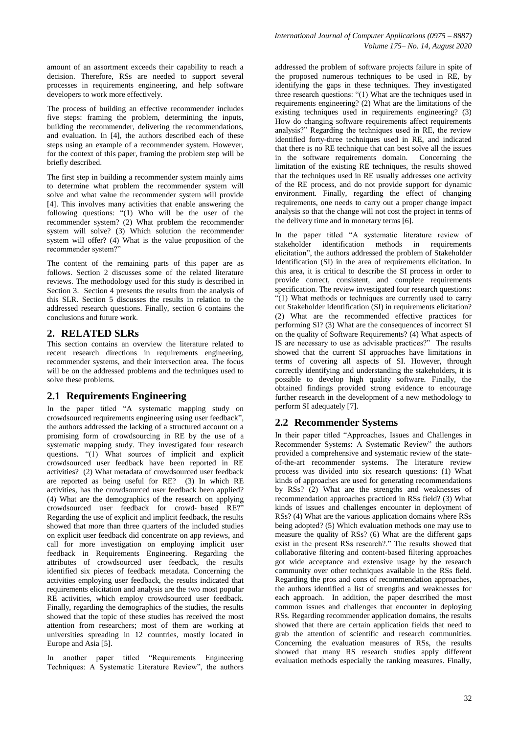amount of an assortment exceeds their capability to reach a decision. Therefore, RSs are needed to support several processes in requirements engineering, and help software developers to work more effectively.

The process of building an effective recommender includes five steps: framing the problem, determining the inputs, building the recommender, delivering the recommendations, and evaluation. In [4], the authors described each of these steps using an example of a recommender system. However, for the context of this paper, framing the problem step will be briefly described.

The first step in building a recommender system mainly aims to determine what problem the recommender system will solve and what value the recommender system will provide [4]. This involves many activities that enable answering the following questions: "(1) Who will be the user of the recommender system? (2) What problem the recommender system will solve? (3) Which solution the recommender system will offer? (4) What is the value proposition of the recommender system?"

The content of the remaining parts of this paper are as follows. Section 2 discusses some of the related literature reviews. The methodology used for this study is described in Section 3. Section 4 presents the results from the analysis of this SLR. Section 5 discusses the results in relation to the addressed research questions. Finally, section 6 contains the conclusions and future work.

## **2. RELATED SLRs**

This section contains an overview the literature related to recent research directions in requirements engineering, recommender systems, and their intersection area. The focus will be on the addressed problems and the techniques used to solve these problems.

## **2.1 Requirements Engineering**

In the paper titled "A systematic mapping study on crowdsourced requirements engineering using user feedback", the authors addressed the lacking of a structured account on a promising form of crowdsourcing in RE by the use of a systematic mapping study. They investigated four research questions. "(1) What sources of implicit and explicit crowdsourced user feedback have been reported in RE activities? (2) What metadata of crowdsourced user feedback are reported as being useful for RE? (3) In which RE activities, has the crowdsourced user feedback been applied? (4) What are the demographics of the research on applying crowdsourced user feedback for crowd‐ based RE?" Regarding the use of explicit and implicit feedback, the results showed that more than three quarters of the included studies on explicit user feedback did concentrate on app reviews, and call for more investigation on employing implicit user feedback in Requirements Engineering. Regarding the attributes of crowdsourced user feedback, the results identified six pieces of feedback metadata. Concerning the activities employing user feedback, the results indicated that requirements elicitation and analysis are the two most popular RE activities, which employ crowdsourced user feedback. Finally, regarding the demographics of the studies, the results showed that the topic of these studies has received the most attention from researchers; most of them are working at universities spreading in 12 countries, mostly located in Europe and Asia [5].

In another paper titled "Requirements Engineering Techniques: A Systematic Literature Review", the authors

addressed the problem of software projects failure in spite of the proposed numerous techniques to be used in RE, by identifying the gaps in these techniques. They investigated three research questions: "(1) What are the techniques used in requirements engineering? (2) What are the limitations of the existing techniques used in requirements engineering? (3) How do changing software requirements affect requirements analysis?" Regarding the techniques used in RE, the review identified forty-three techniques used in RE, and indicated that there is no RE technique that can best solve all the issues in the software requirements domain. Concerning the limitation of the existing RE techniques, the results showed that the techniques used in RE usually addresses one activity of the RE process, and do not provide support for dynamic environment. Finally, regarding the effect of changing requirements, one needs to carry out a proper change impact analysis so that the change will not cost the project in terms of the delivery time and in monetary terms [6].

In the paper titled "A systematic literature review of stakeholder identification methods in requirements elicitation", the authors addressed the problem of Stakeholder Identification (SI) in the area of requirements elicitation. In this area, it is critical to describe the SI process in order to provide correct, consistent, and complete requirements specification. The review investigated four research questions: "(1) What methods or techniques are currently used to carry out Stakeholder Identification (SI) in requirements elicitation? (2) What are the recommended effective practices for performing SI? (3) What are the consequences of incorrect SI on the quality of Software Requirements? (4) What aspects of IS are necessary to use as advisable practices?" The results showed that the current SI approaches have limitations in terms of covering all aspects of SI. However, through correctly identifying and understanding the stakeholders, it is possible to develop high quality software. Finally, the obtained findings provided strong evidence to encourage further research in the development of a new methodology to perform SI adequately [7].

# **2.2 Recommender Systems**

In their paper titled "Approaches, Issues and Challenges in Recommender Systems: A Systematic Review" the authors provided a comprehensive and systematic review of the stateof-the-art recommender systems. The literature review process was divided into six research questions: (1) What kinds of approaches are used for generating recommendations by RSs? (2) What are the strengths and weaknesses of recommendation approaches practiced in RSs field? (3) What kinds of issues and challenges encounter in deployment of RSs? (4) What are the various application domains where RSs being adopted? (5) Which evaluation methods one may use to measure the quality of RSs? (6) What are the different gaps exist in the present RSs research?." The results showed that collaborative filtering and content-based filtering approaches got wide acceptance and extensive usage by the research community over other techniques available in the RSs field. Regarding the pros and cons of recommendation approaches, the authors identified a list of strengths and weaknesses for each approach. In addition, the paper described the most common issues and challenges that encounter in deploying RSs. Regarding recommender application domains, the results showed that there are certain application fields that need to grab the attention of scientific and research communities. Concerning the evaluation measures of RSs, the results showed that many RS research studies apply different evaluation methods especially the ranking measures. Finally,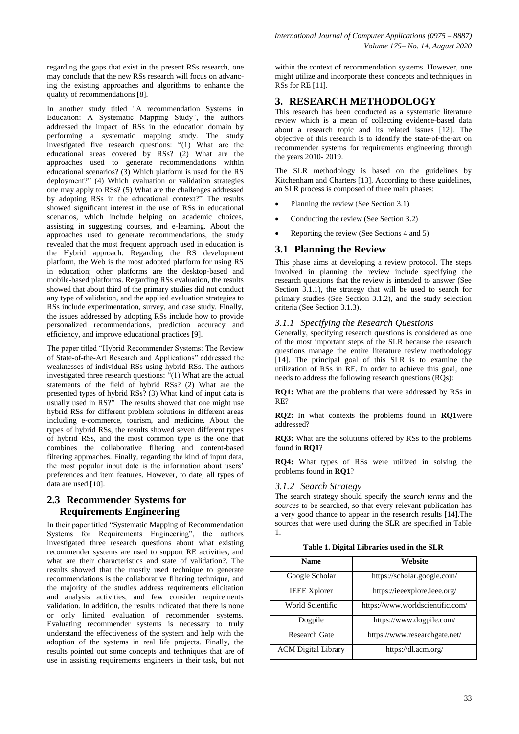regarding the gaps that exist in the present RSs research, one may conclude that the new RSs research will focus on advancing the existing approaches and algorithms to enhance the quality of recommendations [8].

In another study titled "A recommendation Systems in Education: A Systematic Mapping Study", the authors addressed the impact of RSs in the education domain by performing a systematic mapping study. The study investigated five research questions: "(1) What are the educational areas covered by RSs? (2) What are the approaches used to generate recommendations within educational scenarios? (3) Which platform is used for the RS deployment?" (4) Which evaluation or validation strategies one may apply to RSs? (5) What are the challenges addressed by adopting RSs in the educational context?" The results showed significant interest in the use of RSs in educational scenarios, which include helping on academic choices, assisting in suggesting courses, and e-learning. About the approaches used to generate recommendations, the study revealed that the most frequent approach used in education is the Hybrid approach. Regarding the RS development platform, the Web is the most adopted platform for using RS in education; other platforms are the desktop-based and mobile-based platforms. Regarding RSs evaluation, the results showed that about third of the primary studies did not conduct any type of validation, and the applied evaluation strategies to RSs include experimentation, survey, and case study. Finally, the issues addressed by adopting RSs include how to provide personalized recommendations, prediction accuracy and efficiency, and improve educational practices [9].

The paper titled "Hybrid Recommender Systems: The Review of State-of-the-Art Research and Applications" addressed the weaknesses of individual RSs using hybrid RSs. The authors investigated three research questions: "(1) What are the actual statements of the field of hybrid RSs? (2) What are the presented types of hybrid RSs? (3) What kind of input data is usually used in RS?" The results showed that one might use hybrid RSs for different problem solutions in different areas including e-commerce, tourism, and medicine. About the types of hybrid RSs, the results showed seven different types of hybrid RSs, and the most common type is the one that combines the collaborative filtering and content-based filtering approaches. Finally, regarding the kind of input data, the most popular input date is the information about users' preferences and item features. However, to date, all types of data are used [10].

# **2.3 Recommender Systems for Requirements Engineering**

In their paper titled "Systematic Mapping of Recommendation Systems for Requirements Engineering", the authors investigated three research questions about what existing recommender systems are used to support RE activities, and what are their characteristics and state of validation?. The results showed that the mostly used technique to generate recommendations is the collaborative filtering technique, and the majority of the studies address requirements elicitation and analysis activities, and few consider requirements validation. In addition, the results indicated that there is none or only limited evaluation of recommender systems. Evaluating recommender systems is necessary to truly understand the effectiveness of the system and help with the adoption of the systems in real life projects. Finally, the results pointed out some concepts and techniques that are of use in assisting requirements engineers in their task, but not

within the context of recommendation systems. However, one might utilize and incorporate these concepts and techniques in RSs for RE [11].

# **3. RESEARCH METHODOLOGY**

This research has been conducted as a systematic literature review which is a mean of collecting evidence-based data about a research topic and its related issues [12]. The objective of this research is to identify the state-of-the-art on recommender systems for requirements engineering through the years 2010- 2019.

The SLR methodology is based on the guidelines by Kitchenham and Charters [13]. According to these guidelines, an SLR process is composed of three main phases:

- Planning the review (See Section 3.1)
- Conducting the review (See Section 3.2)
- Reporting the review (See Sections 4 and 5)

# **3.1 Planning the Review**

This phase aims at developing a review protocol. The steps involved in planning the review include specifying the research questions that the review is intended to answer (See Section 3.1.1), the strategy that will be used to search for primary studies (See Section 3.1.2), and the study selection criteria (See Section 3.1.3).

## *3.1.1 Specifying the Research Questions*

Generally, specifying research questions is considered as one of the most important steps of the SLR because the research questions manage the entire literature review methodology [14]. The principal goal of this SLR is to examine the utilization of RSs in RE. In order to achieve this goal, one needs to address the following research questions (RQs):

**RQ1:** What are the problems that were addressed by RSs in RE?

**RQ2:** In what contexts the problems found in **RQ1**were addressed?

**RQ3:** What are the solutions offered by RSs to the problems found in **RQ1**?

**RQ4:** What types of RSs were utilized in solving the problems found in **RQ1**?

## *3.1.2 Search Strategy*

The search strategy should specify the *search terms* and the *sources* to be searched, so that every relevant publication has a very good chance to appear in the research results [14].The sources that were used during the SLR are specified in Table 1.

**Table 1. Digital Libraries used in the SLR**

| <b>Name</b>                | Website                          |
|----------------------------|----------------------------------|
| Google Scholar             | https://scholar.google.com/      |
| <b>IEEE Xplorer</b>        | https://ieeexplore.ieee.org/     |
| World Scientific           | https://www.worldscientific.com/ |
| Dogpile                    | https://www.dogpile.com/         |
| Research Gate              | https://www.researchgate.net/    |
| <b>ACM</b> Digital Library | https://dl.acm.org/              |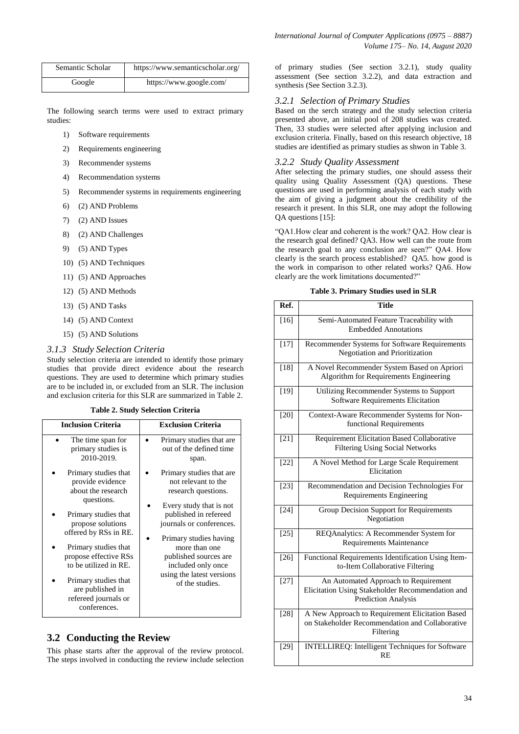| Semantic Scholar | https://www.semanticscholar.org/ |
|------------------|----------------------------------|
| Google           | https://www.google.com/          |

The following search terms were used to extract primary studies:

- 1) Software requirements
- 2) Requirements engineering
- 3) Recommender systems
- 4) Recommendation systems
- 5) Recommender systems in requirements engineering
- 6) (2) AND Problems
- 7) (2) AND Issues
- 8) (2) AND Challenges
- 9) (5) AND Types
- 10) (5) AND Techniques
- 11) (5) AND Approaches
- 12) (5) AND Methods
- 13) (5) AND Tasks
- 14) (5) AND Context
- 15) (5) AND Solutions

#### *3.1.3 Study Selection Criteria*

Study selection criteria are intended to identify those primary studies that provide direct evidence about the research questions. They are used to determine which primary studies are to be included in, or excluded from an SLR. The inclusion and exclusion criteria for this SLR are summarized in Table 2.

#### **Table 2. Study Selection Criteria**

| <b>Inclusion Criteria</b>                                                                                                                                                                                                                                                                                        | <b>Exclusion Criteria</b>                                                                                                                                                                                                                                                                         |
|------------------------------------------------------------------------------------------------------------------------------------------------------------------------------------------------------------------------------------------------------------------------------------------------------------------|---------------------------------------------------------------------------------------------------------------------------------------------------------------------------------------------------------------------------------------------------------------------------------------------------|
| The time span for<br>primary studies is<br>2010-2019.                                                                                                                                                                                                                                                            | Primary studies that are.<br>out of the defined time<br>span.                                                                                                                                                                                                                                     |
| Primary studies that<br>provide evidence<br>about the research<br>questions.<br>Primary studies that<br>propose solutions<br>offered by RSs in RE.<br>Primary studies that<br>propose effective RSs<br>to be utilized in RE.<br>Primary studies that<br>are published in<br>refereed journals or<br>conferences. | Primary studies that are.<br>not relevant to the<br>research questions.<br>Every study that is not<br>published in refereed<br>journals or conferences.<br>Primary studies having<br>more than one<br>published sources are<br>included only once<br>using the latest versions<br>of the studies. |
|                                                                                                                                                                                                                                                                                                                  |                                                                                                                                                                                                                                                                                                   |

## **3.2 Conducting the Review**

This phase starts after the approval of the review protocol. The steps involved in conducting the review include selection

of primary studies (See section 3.2.1), study quality assessment (See section 3.2.2), and data extraction and synthesis (See Section 3.2.3).

#### *3.2.1 Selection of Primary Studies*

Based on the serch strategy and the study selection criteria presented above, an initial pool of 208 studies was created. Then, 33 studies were selected after applying inclusion and exclusion criteria. Finally, based on this research objective, 18 studies are identified as primary studies as shwon in Table 3.

#### *3.2.2 Study Quality Assessment*

After selecting the primary studies, one should assess their quality using Quality Assessment (QA) questions. These questions are used in performing analysis of each study with the aim of giving a judgment about the credibility of the research it present. In this SLR, one may adopt the following QA questions [15]:

"QA1.How clear and coherent is the work? QA2. How clear is the research goal defined? QA3. How well can the route from the research goal to any conclusion are seen?" QA4. How clearly is the search process established? QA5. how good is the work in comparison to other related works? QA6. How clearly are the work limitations documented?"

#### **Table 3. Primary Studies used in SLR**

| Ref.              | <b>Title</b>                                                                                                           |
|-------------------|------------------------------------------------------------------------------------------------------------------------|
| $[16]$            | Semi-Automated Feature Traceability with<br><b>Embedded Annotations</b>                                                |
| $\overline{[}17]$ | Recommender Systems for Software Requirements<br><b>Negotiation and Prioritization</b>                                 |
| $[18]$            | A Novel Recommender System Based on Apriori<br>Algorithm for Requirements Engineering                                  |
| $[19]$            | Utilizing Recommender Systems to Support<br>Software Requirements Elicitation                                          |
| $[20]$            | Context-Aware Recommender Systems for Non-<br>functional Requirements                                                  |
| $[21]$            | Requirement Elicitation Based Collaborative<br><b>Filtering Using Social Networks</b>                                  |
| [22]              | A Novel Method for Large Scale Requirement<br>Elicitation                                                              |
| $[23]$            | Recommendation and Decision Technologies For<br>Requirements Engineering                                               |
| $[24]$            | <b>Group Decision Support for Requirements</b><br>Negotiation                                                          |
| $[25]$            | REQAnalytics: A Recommender System for<br>Requirements Maintenance                                                     |
| $[26]$            | Functional Requirements Identification Using Item-<br>to-Item Collaborative Filtering                                  |
| $[27]$            | An Automated Approach to Requirement<br>Elicitation Using Stakeholder Recommendation and<br><b>Prediction Analysis</b> |
| $[28]$            | A New Approach to Requirement Elicitation Based<br>on Stakeholder Recommendation and Collaborative<br>Filtering        |
| $[29]$            | <b>INTELLIREQ:</b> Intelligent Techniques for Software<br><b>RE</b>                                                    |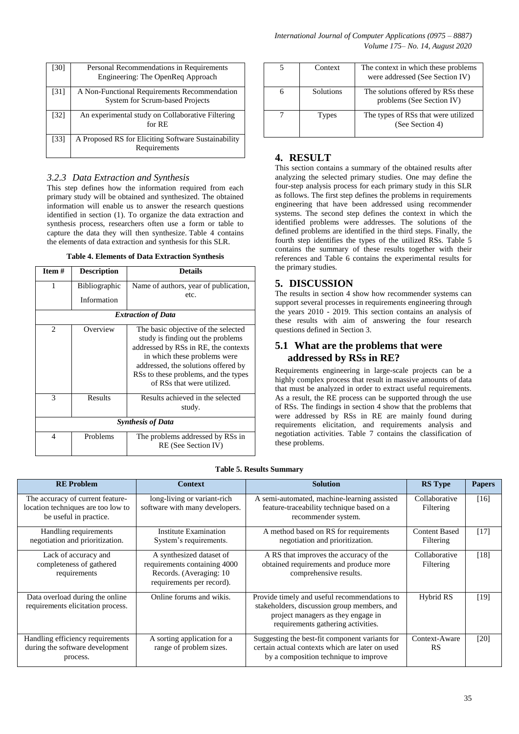| [30]              | Personal Recommendations in Requirements<br>Engineering: The OpenReq Approach          |
|-------------------|----------------------------------------------------------------------------------------|
| [31]              | A Non-Functional Requirements Recommendation<br><b>System for Scrum-based Projects</b> |
| $\left[32\right]$ | An experimental study on Collaborative Filtering<br>for $RE$                           |
| [33]              | A Proposed RS for Eliciting Software Sustainability<br>Requirements                    |

## *3.2.3 Data Extraction and Synthesis*

This step defines how the information required from each primary study will be obtained and synthesized. The obtained information will enable us to answer the research questions identified in section (1). To organize the data extraction and synthesis process, researchers often use a form or table to capture the data they will then synthesize. Table 4 contains the elements of data extraction and synthesis for this SLR.

| <b>Table 4. Elements of Data Extraction Synthesis</b> |  |  |  |  |  |
|-------------------------------------------------------|--|--|--|--|--|
|-------------------------------------------------------|--|--|--|--|--|

| Item#                         | <b>Description</b>                  | <b>Details</b>                                                                                                                                                                                                                                                |  |
|-------------------------------|-------------------------------------|---------------------------------------------------------------------------------------------------------------------------------------------------------------------------------------------------------------------------------------------------------------|--|
| 1                             | <b>Bibliographic</b><br>Information | Name of authors, year of publication,<br>etc.                                                                                                                                                                                                                 |  |
|                               |                                     | <b>Extraction of Data</b>                                                                                                                                                                                                                                     |  |
| $\mathfrak{D}_{\mathfrak{p}}$ | Overview                            | The basic objective of the selected<br>study is finding out the problems<br>addressed by RSs in RE, the contexts<br>in which these problems were<br>addressed, the solutions offered by<br>RSs to these problems, and the types<br>of RSs that were utilized. |  |
| 3                             | Results                             | Results achieved in the selected<br>study.                                                                                                                                                                                                                    |  |
| <b>Synthesis of Data</b>      |                                     |                                                                                                                                                                                                                                                               |  |
| 4                             | Problems                            | The problems addressed by RSs in<br>RE (See Section IV)                                                                                                                                                                                                       |  |

| Context   | The context in which these problems<br>were addressed (See Section IV) |
|-----------|------------------------------------------------------------------------|
| Solutions | The solutions offered by RSs these<br>problems (See Section IV)        |
| Types     | The types of RSs that were utilized<br>(See Section 4)                 |

# **4. RESULT**

This section contains a summary of the obtained results after analyzing the selected primary studies. One may define the four-step analysis process for each primary study in this SLR as follows. The first step defines the problems in requirements engineering that have been addressed using recommender systems. The second step defines the context in which the identified problems were addresses. The solutions of the defined problems are identified in the third steps. Finally, the fourth step identifies the types of the utilized RSs. Table 5 contains the summary of these results together with their references and Table 6 contains the experimental results for the primary studies.

## **5. DISCUSSION**

The results in section 4 show how recommender systems can support several processes in requirements engineering through the years 2010 - 2019. This section contains an analysis of these results with aim of answering the four research questions defined in Section 3.

## **5.1 What are the problems that were addressed by RSs in RE?**

Requirements engineering in large-scale projects can be a highly complex process that result in massive amounts of data that must be analyzed in order to extract useful requirements. As a result, the RE process can be supported through the use of RSs. The findings in section 4 show that the problems that were addressed by RSs in RE are mainly found during requirements elicitation, and requirements analysis and negotiation activities. Table 7 contains the classification of these problems.

|        | <b>Table 5. Results Summary</b> |  |
|--------|---------------------------------|--|
| nntevt |                                 |  |

| <b>RE</b> Problem                                                                                | <b>Context</b>                                                                                                    | <b>Solution</b>                                                                                                                                                         | <b>RS</b> Type                    | <b>Papers</b> |
|--------------------------------------------------------------------------------------------------|-------------------------------------------------------------------------------------------------------------------|-------------------------------------------------------------------------------------------------------------------------------------------------------------------------|-----------------------------------|---------------|
| The accuracy of current feature-<br>location techniques are too low to<br>be useful in practice. | long-living or variant-rich<br>software with many developers.                                                     | A semi-automated, machine-learning assisted<br>feature-traceability technique based on a<br>recommender system.                                                         | Collaborative<br>Filtering        | $[16]$        |
| Handling requirements<br>negotiation and prioritization.                                         | <b>Institute Examination</b><br>System's requirements.                                                            | A method based on RS for requirements<br>negotiation and prioritization.                                                                                                | <b>Content Based</b><br>Filtering | $[17]$        |
| Lack of accuracy and<br>completeness of gathered<br>requirements                                 | A synthesized dataset of<br>requirements containing 4000<br>Records. (Averaging: 10)<br>requirements per record). | A RS that improves the accuracy of the<br>obtained requirements and produce more<br>comprehensive results.                                                              | Collaborative<br>Filtering        | [18]          |
| Data overload during the online<br>requirements elicitation process.                             | Online forums and wikis.                                                                                          | Provide timely and useful recommendations to<br>stakeholders, discussion group members, and<br>project managers as they engage in<br>requirements gathering activities. | Hybrid RS                         | $[19]$        |
| Handling efficiency requirements<br>during the software development<br>process.                  | A sorting application for a<br>range of problem sizes.                                                            | Suggesting the best-fit component variants for<br>certain actual contexts which are later on used<br>by a composition technique to improve                              | Context-Aware<br><b>RS</b>        | [20]          |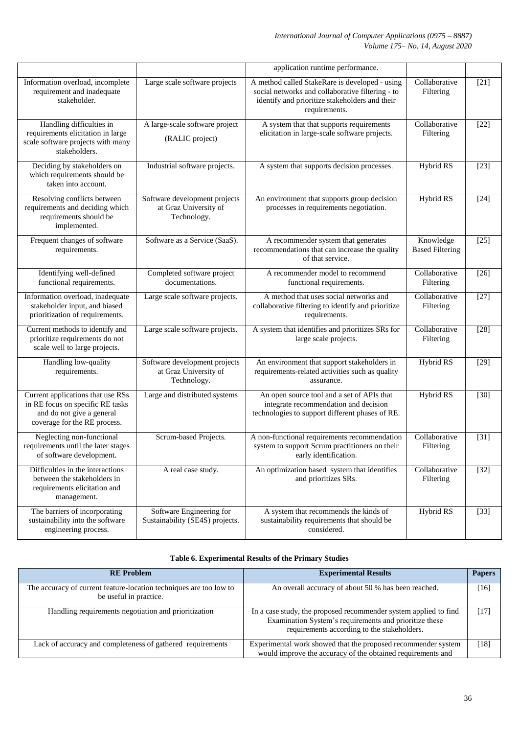|                                                                                                                                    |                                                                       | application runtime performance.                                                                                                                                      |                                     |        |
|------------------------------------------------------------------------------------------------------------------------------------|-----------------------------------------------------------------------|-----------------------------------------------------------------------------------------------------------------------------------------------------------------------|-------------------------------------|--------|
| Information overload, incomplete<br>requirement and inadequate<br>stakeholder.                                                     | Large scale software projects                                         | A method called StakeRare is developed - using<br>social networks and collaborative filtering - to<br>identify and prioritize stakeholders and their<br>requirements. | Collaborative<br>Filtering          | $[21]$ |
| Handling difficulties in<br>requirements elicitation in large<br>scale software projects with many<br>stakeholders.                | A large-scale software project<br>(RALIC project)                     | A system that that supports requirements<br>elicitation in large-scale software projects.                                                                             | Collaborative<br>Filtering          | $[22]$ |
| Deciding by stakeholders on<br>which requirements should be<br>taken into account.                                                 | Industrial software projects.                                         | A system that supports decision processes.                                                                                                                            | Hybrid RS                           | $[23]$ |
| Resolving conflicts between<br>requirements and deciding which<br>requirements should be<br>implemented.                           | Software development projects<br>at Graz University of<br>Technology. | An environment that supports group decision<br>processes in requirements negotiation.                                                                                 | <b>Hybrid RS</b>                    | $[24]$ |
| Frequent changes of software<br>requirements.                                                                                      | Software as a Service (SaaS).                                         | A recommender system that generates<br>recommendations that can increase the quality<br>of that service.                                                              | Knowledge<br><b>Based Filtering</b> | $[25]$ |
| Identifying well-defined<br>functional requirements.                                                                               | Completed software project<br>documentations.                         | A recommender model to recommend<br>functional requirements.                                                                                                          | Collaborative<br>Filtering          | $[26]$ |
| Information overload, inadequate<br>stakeholder input, and biased<br>prioritization of requirements.                               | Large scale software projects.                                        | A method that uses social networks and<br>collaborative filtering to identify and prioritize<br>requirements.                                                         | Collaborative<br>Filtering          | $[27]$ |
| Current methods to identify and<br>prioritize requirements do not<br>scale well to large projects.                                 | Large scale software projects.                                        | A system that identifies and prioritizes SRs for<br>large scale projects.                                                                                             | Collaborative<br>Filtering          | $[28]$ |
| Handling low-quality<br>requirements.                                                                                              | Software development projects<br>at Graz University of<br>Technology. | An environment that support stakeholders in<br>requirements-related activities such as quality<br>assurance.                                                          | Hybrid RS                           | $[29]$ |
| Current applications that use RSs<br>in RE focus on specific RE tasks<br>and do not give a general<br>coverage for the RE process. | Large and distributed systems                                         | An open source tool and a set of APIs that<br>integrate recommendation and decision<br>technologies to support different phases of RE.                                | <b>Hybrid RS</b>                    | $[30]$ |
| Neglecting non-functional<br>requirements until the later stages<br>of software development.                                       | Scrum-based Projects.                                                 | A non-functional requirements recommendation<br>system to support Scrum practitioners on their<br>early identification.                                               | Collaborative<br>Filtering          | $[31]$ |
| Difficulties in the interactions<br>between the stakeholders in<br>requirements elicitation and<br>management.                     | A real case study.                                                    | An optimization based system that identifies<br>and prioritizes SRs.                                                                                                  | Collaborative<br>Filtering          | $[32]$ |
| The barriers of incorporating<br>sustainability into the software<br>engineering process.                                          | Software Engineering for<br>Sustainability (SE4S) projects.           | A system that recommends the kinds of<br>sustainability requirements that should be<br>considered.                                                                    | Hybrid RS                           | $[33]$ |

## **Table 6. Experimental Results of the Primary Studies**

| <b>RE</b> Problem                                                                            | <b>Experimental Results</b>                                                                                                                                               | <b>Papers</b> |
|----------------------------------------------------------------------------------------------|---------------------------------------------------------------------------------------------------------------------------------------------------------------------------|---------------|
| The accuracy of current feature-location techniques are too low to<br>be useful in practice. | An overall accuracy of about 50 % has been reached.                                                                                                                       | [16]          |
| Handling requirements negotiation and prioritization                                         | In a case study, the proposed recommender system applied to find<br>Examination System's requirements and prioritize these<br>requirements according to the stakeholders. | [17]          |
| Lack of accuracy and completeness of gathered requirements                                   | Experimental work showed that the proposed recommender system<br>would improve the accuracy of the obtained requirements and                                              | [18]          |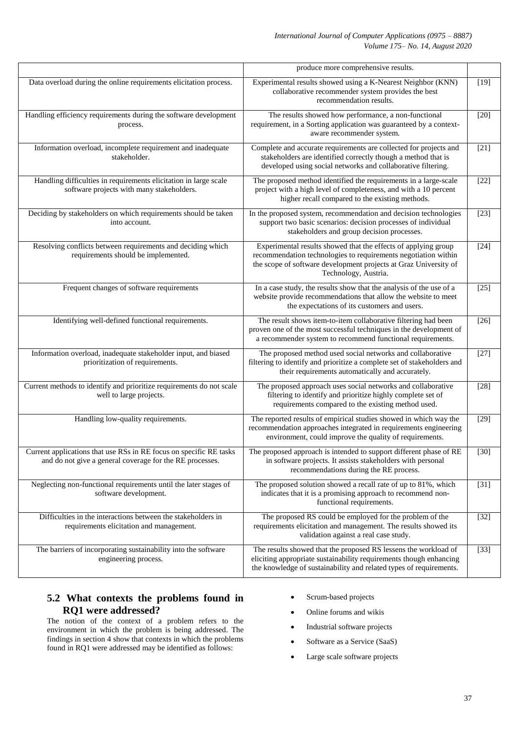|                                                                                                                                | produce more comprehensive results.                                                                                                                                                                                          |        |
|--------------------------------------------------------------------------------------------------------------------------------|------------------------------------------------------------------------------------------------------------------------------------------------------------------------------------------------------------------------------|--------|
| Data overload during the online requirements elicitation process.                                                              | Experimental results showed using a K-Nearest Neighbor (KNN)<br>collaborative recommender system provides the best<br>recommendation results.                                                                                | $[19]$ |
| Handling efficiency requirements during the software development<br>process.                                                   | The results showed how performance, a non-functional<br>requirement, in a Sorting application was guaranteed by a context-<br>aware recommender system.                                                                      | $[20]$ |
| Information overload, incomplete requirement and inadequate<br>stakeholder.                                                    | Complete and accurate requirements are collected for projects and<br>stakeholders are identified correctly though a method that is<br>developed using social networks and collaborative filtering.                           | $[21]$ |
| Handling difficulties in requirements elicitation in large scale<br>software projects with many stakeholders.                  | The proposed method identified the requirements in a large-scale<br>project with a high level of completeness, and with a 10 percent<br>higher recall compared to the existing methods.                                      | $[22]$ |
| Deciding by stakeholders on which requirements should be taken<br>into account.                                                | In the proposed system, recommendation and decision technologies<br>support two basic scenarios: decision processes of individual<br>stakeholders and group decision processes.                                              | $[23]$ |
| Resolving conflicts between requirements and deciding which<br>requirements should be implemented.                             | Experimental results showed that the effects of applying group<br>recommendation technologies to requirements negotiation within<br>the scope of software development projects at Graz University of<br>Technology, Austria. | $[24]$ |
| Frequent changes of software requirements                                                                                      | In a case study, the results show that the analysis of the use of a<br>website provide recommendations that allow the website to meet<br>the expectations of its customers and users.                                        | $[25]$ |
| Identifying well-defined functional requirements.                                                                              | The result shows item-to-item collaborative filtering had been<br>proven one of the most successful techniques in the development of<br>a recommender system to recommend functional requirements.                           | $[26]$ |
| Information overload, inadequate stakeholder input, and biased<br>prioritization of requirements.                              | The proposed method used social networks and collaborative<br>filtering to identify and prioritize a complete set of stakeholders and<br>their requirements automatically and accurately.                                    | $[27]$ |
| Current methods to identify and prioritize requirements do not scale<br>well to large projects.                                | The proposed approach uses social networks and collaborative<br>filtering to identify and prioritize highly complete set of<br>requirements compared to the existing method used.                                            | $[28]$ |
| Handling low-quality requirements.                                                                                             | The reported results of empirical studies showed in which way the<br>recommendation approaches integrated in requirements engineering<br>environment, could improve the quality of requirements.                             | $[29]$ |
| Current applications that use RSs in RE focus on specific RE tasks<br>and do not give a general coverage for the RE processes. | The proposed approach is intended to support different phase of RE<br>in software projects. It assists stakeholders with personal<br>recommendations during the RE process.                                                  | $[30]$ |
| Neglecting non-functional requirements until the later stages of<br>software development.                                      | The proposed solution showed a recall rate of up to 81%, which<br>indicates that it is a promising approach to recommend non-<br>functional requirements.                                                                    | $[31]$ |
| Difficulties in the interactions between the stakeholders in<br>requirements elicitation and management.                       | The proposed RS could be employed for the problem of the<br>requirements elicitation and management. The results showed its<br>validation against a real case study.                                                         | $[32]$ |
| The barriers of incorporating sustainability into the software<br>engineering process.                                         | The results showed that the proposed RS lessens the workload of<br>eliciting appropriate sustainability requirements though enhancing<br>the knowledge of sustainability and related types of requirements.                  | $[33]$ |

# **5.2 What contexts the problems found in RQ1 were addressed?**

The notion of the context of a problem refers to the environment in which the problem is being addressed. The findings in section 4 show that contexts in which the problems found in RQ1 were addressed may be identified as follows:

- Scrum-based projects
- Online forums and wikis
- Industrial software projects
- Software as a Service (SaaS)
- Large scale software projects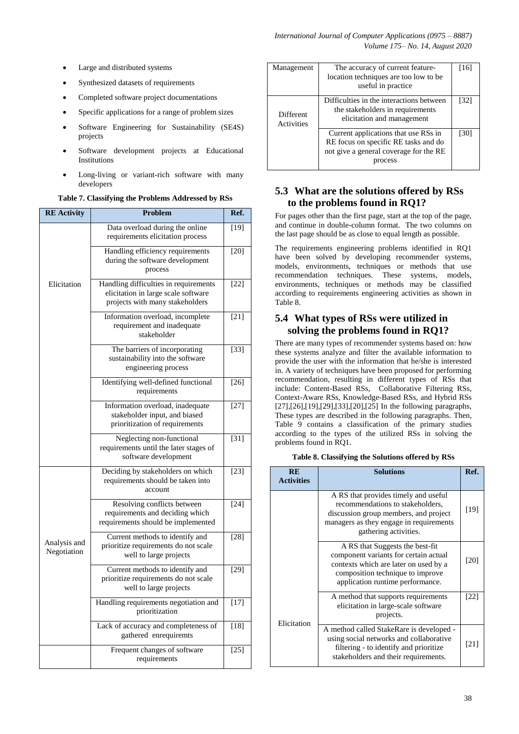- Large and distributed systems
- Synthesized datasets of requirements
- Completed software project documentations
- Specific applications for a range of problem sizes
- Software Engineering for Sustainability (SE4S) projects
- Software development projects at Educational Institutions
- Long-living or variant-rich software with many developers

**Table 7. Classifying the Problems Addressed by RSs**

| <b>RE Activity</b>          | <b>Problem</b>                                                                                                  | Ref.   |
|-----------------------------|-----------------------------------------------------------------------------------------------------------------|--------|
|                             | Data overload during the online<br>requirements elicitation process                                             | $[19]$ |
|                             | Handling efficiency requirements<br>during the software development<br>process                                  | $[20]$ |
| Elicitation                 | Handling difficulties in requirements<br>elicitation in large scale software<br>projects with many stakeholders | $[22]$ |
|                             | Information overload, incomplete<br>requirement and inadequate<br>stakeholder                                   | $[21]$ |
|                             | The barriers of incorporating<br>sustainability into the software<br>engineering process                        | $[33]$ |
|                             | Identifying well-defined functional<br>requirements                                                             | $[26]$ |
|                             | Information overload, inadequate<br>stakeholder input, and biased<br>prioritization of requirements             | $[27]$ |
|                             | Neglecting non-functional<br>requirements until the later stages of<br>software development                     | $[31]$ |
|                             | Deciding by stakeholders on which<br>requirements should be taken into<br>account                               | $[23]$ |
| Analysis and<br>Negotiation | Resolving conflicts between<br>requirements and deciding which<br>requirements should be implemented            | $[24]$ |
|                             | Current methods to identify and<br>prioritize requirements do not scale<br>well to large projects               | $[28]$ |
|                             | Current methods to identify and<br>prioritize requirements do not scale<br>well to large projects               | $[29]$ |
|                             | Handling requirements negotiation and<br>prioritization                                                         | $[17]$ |
|                             | Lack of accuracy and completeness of<br>gathered enrequiremts                                                   | $[18]$ |
|                             | Frequent changes of software<br>requirements                                                                    | $[25]$ |

| Management              | The accuracy of current feature-<br>location techniques are too low to be<br>useful in practice                                   | 116  |
|-------------------------|-----------------------------------------------------------------------------------------------------------------------------------|------|
| Different<br>Activities | Difficulties in the interactions between<br>the stakeholders in requirements<br>elicitation and management                        | [32] |
|                         | Current applications that use RSs in<br>RE focus on specific RE tasks and do<br>not give a general coverage for the RE<br>process | 130  |

# **5.3 What are the solutions offered by RSs to the problems found in RQ1?**

For pages other than the first page, start at the top of the page, and continue in double-column format. The two columns on the last page should be as close to equal length as possible.

The requirements engineering problems identified in RQ1 have been solved by developing recommender systems, models, environments, techniques or methods that use recommendation techniques. These systems, models, environments, techniques or methods may be classified according to requirements engineering activities as shown in Table 8.

# **5.4 What types of RSs were utilized in solving the problems found in RQ1?**

There are many types of recommender systems based on: how these systems analyze and filter the available information to provide the user with the information that he/she is interested in. A variety of techniques have been proposed for performing recommendation, resulting in different types of RSs that include: Content-Based RSs, Collaborative Filtering RSs, Context-Aware RSs, Knowledge-Based RSs, and Hybrid RSs [27],[26],[19],[29],[33],[20],[25] In the following paragraphs, These types are described in the following paragraphs. Then, Table 9 contains a classification of the primary studies according to the types of the utilized RSs in solving the problems found in RQ1.

|  |  | Table 8. Classifying the Solutions offered by RSs |  |  |  |
|--|--|---------------------------------------------------|--|--|--|
|--|--|---------------------------------------------------|--|--|--|

| <b>RE</b><br><b>Activities</b> | <b>Solutions</b>                                                                                                                                                                          | Ref. |
|--------------------------------|-------------------------------------------------------------------------------------------------------------------------------------------------------------------------------------------|------|
|                                | A RS that provides timely and useful<br>recommendations to stakeholders,<br>discussion group members, and project<br>managers as they engage in requirements<br>gathering activities.     | [19] |
|                                | A RS that Suggests the best-fit<br>component variants for certain actual<br>contexts which are later on used by a<br>composition technique to improve<br>application runtime performance. | [20] |
| Elicitation                    | A method that supports requirements<br>elicitation in large-scale software<br>projects.                                                                                                   | [22] |
|                                | A method called StakeRare is developed -<br>using social networks and collaborative<br>filtering - to identify and prioritize<br>stakeholders and their requirements.                     | [21] |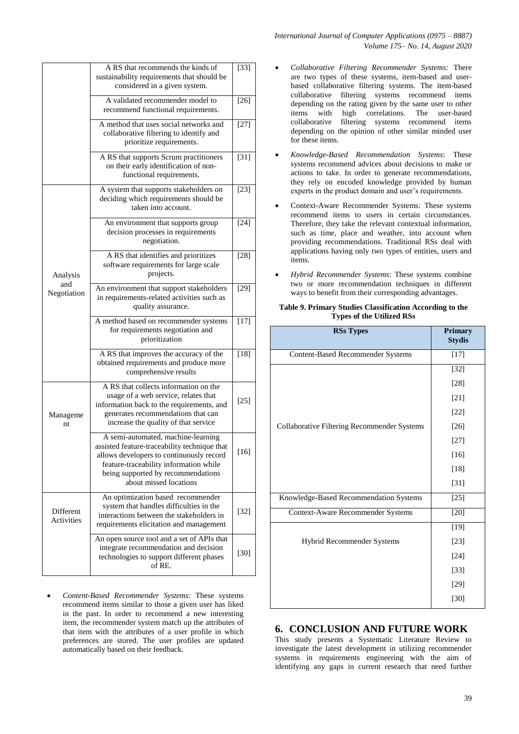|                                | A RS that recommends the kinds of<br>sustainability requirements that should be<br>considered in a given system.                                                                                                                         | $[33]$ |
|--------------------------------|------------------------------------------------------------------------------------------------------------------------------------------------------------------------------------------------------------------------------------------|--------|
|                                | A validated recommender model to<br>recommend functional requirements.                                                                                                                                                                   | $[26]$ |
|                                | A method that uses social networks and<br>collaborative filtering to identify and<br>prioritize requirements.                                                                                                                            | $[27]$ |
|                                | A RS that supports Scrum practitioners<br>on their early identification of non-<br>functional requirements.                                                                                                                              | $[31]$ |
|                                | A system that supports stakeholders on<br>deciding which requirements should be<br>taken into account.                                                                                                                                   | $[23]$ |
| Analysis<br>and<br>Negotiation | An environment that supports group<br>decision processes in requirements<br>negotiation.                                                                                                                                                 | $[24]$ |
|                                | A RS that identifies and prioritizes<br>software requirements for large scale<br>projects.                                                                                                                                               | $[28]$ |
|                                | An environment that support stakeholders<br>in requirements-related activities such as<br>quality assurance.                                                                                                                             | $[29]$ |
|                                | A method based on recommender systems<br>for requirements negotiation and<br>prioritization                                                                                                                                              | $[17]$ |
|                                | A RS that improves the accuracy of the<br>obtained requirements and produce more<br>comprehensive results                                                                                                                                | $[18]$ |
| Manageme<br>nt                 | A RS that collects information on the<br>usage of a web service, relates that<br>information back to the requirements, and<br>generates recommendations that can<br>increase the quality of that service                                 | $[25]$ |
|                                | A semi-automated, machine-learning<br>assisted feature-traceability technique that<br>allows developers to continuously record<br>feature-traceability information while<br>being supported by recommendations<br>about missed locations | $[16]$ |
| <b>Different</b><br>Activities | An optimization based recommender<br>system that handles difficulties in the<br>interactions between the stakeholders in<br>requirements elicitation and management                                                                      | $[32]$ |
|                                | An open source tool and a set of APIs that<br>integrate recommendation and decision<br>technologies to support different phases<br>of RE.                                                                                                | $[30]$ |

 *Content-Based Recommender Systems*: These systems recommend items similar to those a given user has liked in the past. In order to recommend a new interesting item, the recommender system match up the attributes of that item with the attributes of a user profile in which preferences are stored. The user profiles are updated automatically based on their feedback.

*International Journal of Computer Applications (0975 – 8887) Volume 175– No. 14, August 2020*

- *Collaborative Filtering Recommender Systems:* There are two types of these systems, item-based and userbased collaborative filtering systems. The item-based collaborative filtering systems recommend items depending on the rating given by the same user to other items with high correlations. The user-based collaborative filtering systems recommend items depending on the opinion of other similar minded user for these items.
- *Knowledge-Based Recommendation Systems*: These systems recommend advices about decisions to make or actions to take. In order to generate recommendations, they rely on encoded knowledge provided by human experts in the product domain and user's requirements.
- Context-Aware Recommender Systems: These systems recommend items to users in certain circumstances. Therefore, they take the relevant contextual information, such as time, place and weather, into account when providing recommendations. Traditional RSs deal with applications having only two types of entities, users and items.
- *Hybrid Recommender Systems*: These systems combine two or more recommendation techniques in different ways to benefit from their corresponding advantages.

#### **Table 9. Primary Studies Classification According to the Types of the Utilized RSs**

| <b>RSs Types</b>                            | <b>Primary</b><br><b>Stydis</b> |
|---------------------------------------------|---------------------------------|
| <b>Content-Based Recommender Systems</b>    | $[17]$                          |
|                                             | $[32]$                          |
|                                             | $[28]$                          |
|                                             | $[21]$                          |
|                                             | $[22]$                          |
| Collaborative Filtering Recommender Systems | $[26]$                          |
|                                             | $[27]$                          |
|                                             | $[16]$                          |
|                                             | $[18]$                          |
|                                             | $[31]$                          |
| Knowledge-Based Recommendation Systems      | $[25]$                          |
| <b>Context-Aware Recommender Systems</b>    | $[20]$                          |
|                                             | $[19]$                          |
| <b>Hybrid Recommender Systems</b>           | $[23]$                          |
|                                             | $[24]$                          |
|                                             | $[33]$                          |
|                                             | $[29]$                          |
|                                             | $[30]$                          |
|                                             |                                 |

## **6. CONCLUSION AND FUTURE WORK**

This study presents a Systematic Literature Review to investigate the latest development in utilizing recommender systems in requirements engineering with the aim of identifying any gaps in current research that need further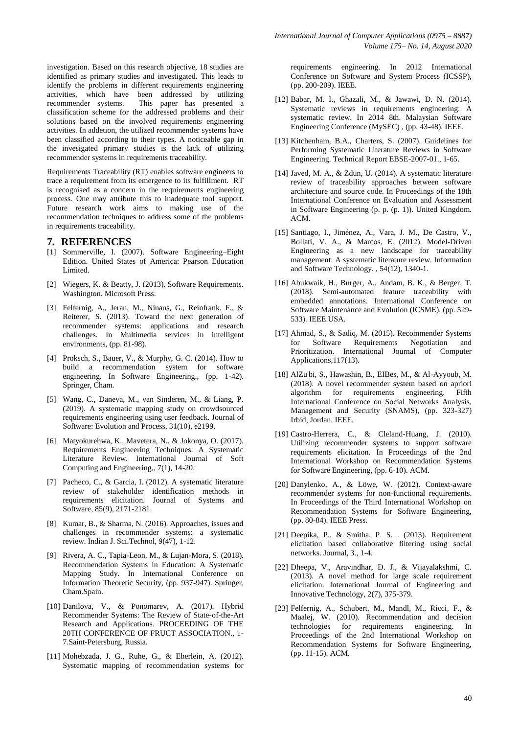investigation. Based on this research objective, 18 studies are identified as primary studies and investigated. This leads to identify the problems in different requirements engineering activities, which have been addressed by utilizing recommender systems. This paper has presented a classification scheme for the addressed problems and their solutions based on the involved requirements engineering activities. In addetion, the utilized recommender systems have been classified according to their types. A noticeable gap in the invesigated primary studies is the lack of utilizing recommender systems in requirements traceability.

Requirements Traceability (RT) enables software engineers to trace a requirement from its emergence to its fulfillment. RT is recognised as a concern in the requirements engineering process. One may attribute this to inadequate tool support. Future research work aims to making use of the recommendation techniques to address some of the problems in requirements traceability.

#### **7. REFERENCES**

- [1] Sommerville, I. (2007). Software Engineering–Eight Edition. United States of America: Pearson Education Limited.
- [2] Wiegers, K. & Beatty, J. (2013). Software Requirements. Washington. Microsoft Press.
- [3] Felfernig, A., Jeran, M., Ninaus, G., Reinfrank, F., & Reiterer, S. (2013). Toward the next generation of recommender systems: applications and research challenges. In Multimedia services in intelligent environments, (pp. 81-98).
- [4] Proksch, S., Bauer, V., & Murphy, G. C. (2014). How to build a recommendation system for software engineering. In Software Engineering., (pp. 1-42). Springer, Cham.
- [5] Wang, C., Daneva, M., van Sinderen, M., & Liang, P. (2019). A systematic mapping study on crowdsourced requirements engineering using user feedback. Journal of Software: Evolution and Process, 31(10), e2199.
- [6] Matyokurehwa, K., Mavetera, N., & Jokonya, O. (2017). Requirements Engineering Techniques: A Systematic Literature Review. International Journal of Soft Computing and Engineering,, 7(1), 14-20.
- [7] Pacheco, C., & Garcia, I. (2012). A systematic literature review of stakeholder identification methods in requirements elicitation. Journal of Systems and Software, 85(9), 2171-2181.
- [8] Kumar, B., & Sharma, N. (2016). Approaches, issues and challenges in recommender systems: a systematic review. Indian J. Sci.Technol, 9(47), 1-12.
- [9] Rivera, A. C., Tapia-Leon, M., & Lujan-Mora, S. (2018). Recommendation Systems in Education: A Systematic Mapping Study. In International Conference on Information Theoretic Security, (pp. 937-947). Springer, Cham.Spain.
- [10] Danilova, V., & Ponomarev, A. (2017). Hybrid Recommender Systems: The Review of State-of-the-Art Research and Applications. PROCEEDING OF THE 20TH CONFERENCE OF FRUCT ASSOCIATION., 1- 7.Saint-Petersburg, Russia.
- [11] Mohebzada, J. G., Ruhe, G., & Eberlein, A. (2012). Systematic mapping of recommendation systems for

requirements engineering. In 2012 International Conference on Software and System Process (ICSSP), (pp. 200-209). IEEE.

- [12] Babar, M. I., Ghazali, M., & Jawawi, D. N. (2014). Systematic reviews in requirements engineering: A systematic review. In 2014 8th. Malaysian Software Engineering Conference (MySEC) , (pp. 43-48). IEEE.
- [13] Kitchenham, B.A., Charters, S. (2007). Guidelines for Performing Systematic Literature Reviews in Software Engineering. Technical Report EBSE-2007-01., 1-65.
- [14] Javed, M. A., & Zdun, U. (2014). A systematic literature review of traceability approaches between software architecture and source code. In Proceedings of the 18th International Conference on Evaluation and Assessment in Software Engineering (p. p. (p. 1)). United Kingdom. ACM.
- [15] Santiago, I., Jiménez, A., Vara, J. M., De Castro, V., Bollati, V. A., & Marcos, E. (2012). Model-Driven Engineering as a new landscape for traceability management: A systematic literature review. Information and Software Technology. , 54(12), 1340-1.
- [16] Abukwaik, H., Burger, A., Andam, B. K., & Berger, T. (2018). Semi-automated feature traceability with embedded annotations. International Conference on Software Maintenance and Evolution (ICSME), (pp. 529- 533). IEEE.USA.
- [17] Ahmad, S., & Sadiq, M. (2015). Recommender Systems for Software Requirements Negotiation and Prioritization. International Journal of Computer Applications,117(13).
- [18] AlZu'bi, S., Hawashin, B., EIBes, M., & Al-Ayyoub, M. (2018). A novel recommender system based on apriori algorithm for requirements engineering. Fifth International Conference on Social Networks Analysis, Management and Security (SNAMS), (pp. 323-327) Irbid, Jordan. IEEE.
- [19] Castro-Herrera, C., & Cleland-Huang, J. (2010). Utilizing recommender systems to support software requirements elicitation. In Proceedings of the 2nd International Workshop on Recommendation Systems for Software Engineering, (pp. 6-10). ACM.
- [20] Danylenko, A., & Löwe, W. (2012). Context-aware recommender systems for non-functional requirements. In Proceedings of the Third International Workshop on Recommendation Systems for Software Engineering, (pp. 80-84). IEEE Press.
- [21] Deepika, P., & Smitha, P. S. . (2013). Requirement elicitation based collaborative filtering using social networks. Journal, 3., 1-4.
- [22] Dheepa, V., Aravindhar, D. J., & Vijayalakshmi, C. (2013). A novel method for large scale requirement elicitation. International Journal of Engineering and Innovative Technology, 2(7), 375-379.
- [23] Felfernig, A., Schubert, M., Mandl, M., Ricci, F., & Maalej, W. (2010). Recommendation and decision technologies for requirements engineering. In Proceedings of the 2nd International Workshop on Recommendation Systems for Software Engineering, (pp. 11-15). ACM.